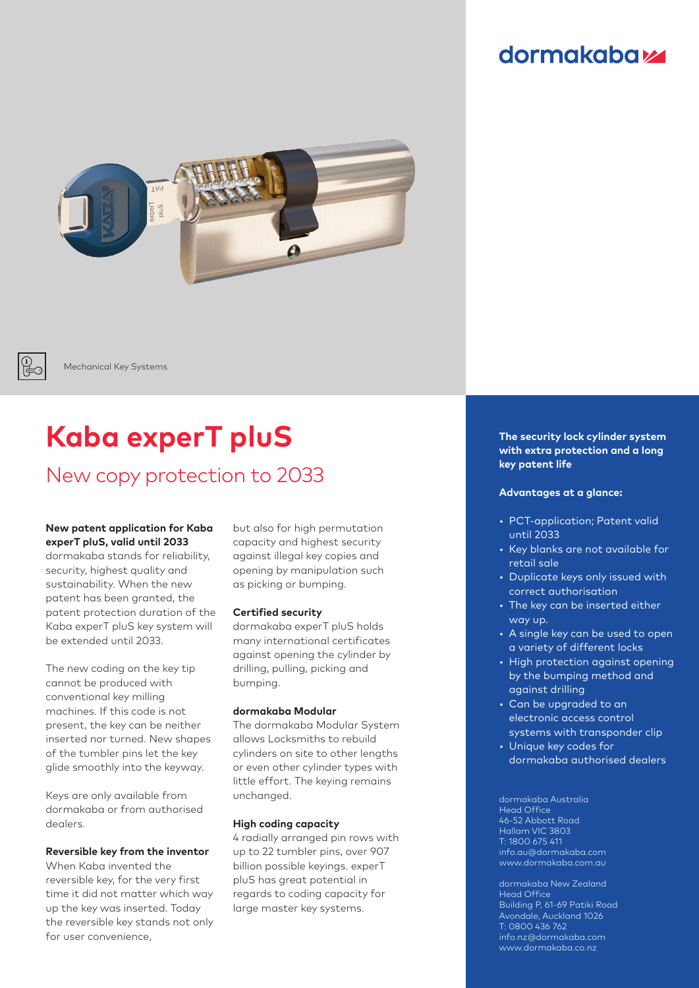### dormakaba



Mechanical Key Systems

# **Kaba experT pluS**

### New copy protection to 2033

#### **New patent application for Kaba experT pluS, valid until 2033**

dormakaba stands for reliability, security, highest quality and sustainability. When the new patent has been granted, the patent protection duration of the Kaba experT pluS key system will be extended until 2033.

The new coding on the key tip cannot be produced with conventional key milling machines. If this code is not present, the key can be neither inserted nor turned. New shapes of the tumbler pins let the key glide smoothly into the keyway.

Keys are only available from dormakaba or from authorised dealers.

#### **Reversible key from the inventor**

When Kaba invented the reversible key, for the very first time it did not matter which way up the key was inserted. Today the reversible key stands not only for user convenience,

but also for high permutation capacity and highest security against illegal key copies and opening by manipulation such as picking or bumping.

#### **Certified security**

dormakaba experT pluS holds many international certificates against opening the cylinder by drilling, pulling, picking and bumping.

#### **dormakaba Modular**

The dormakaba Modular System allows Locksmiths to rebuild cylinders on site to other lengths or even other cylinder types with little effort. The keying remains unchanged.

#### **High coding capacity**

4 radially arranged pin rows with up to 22 tumbler pins, over 907 billion possible keyings. experT pluS has great potential in regards to coding capacity for large master key systems.

**The security lock cylinder system with extra protection and a long key patent life** 

#### **Advantages at a glance:**

- PCT-application; Patent valid until 2033
- Key blanks are not available for retail sale
- Duplicate keys only issued with correct authorisation
- The key can be inserted either way up.
- A single key can be used to open a variety of different locks
- High protection against opening by the bumping method and against drilling
- Can be upgraded to an electronic access control systems with transponder clip
- Unique key codes for dormakaba authorised dealers

dormakaba Australia Head Office 46-52 Abbott Road Hallam VIC 3803 T: 1800 675 411 info.au@dormakaba.com www.dormakaba.com.au

dormakaba New Zealand Head Office Building P, 61-69 Patiki Road Avondale, Auckland 1026 T: 0800 436 762 info.nz@dormakaba.com www.dormakaba.co.nz